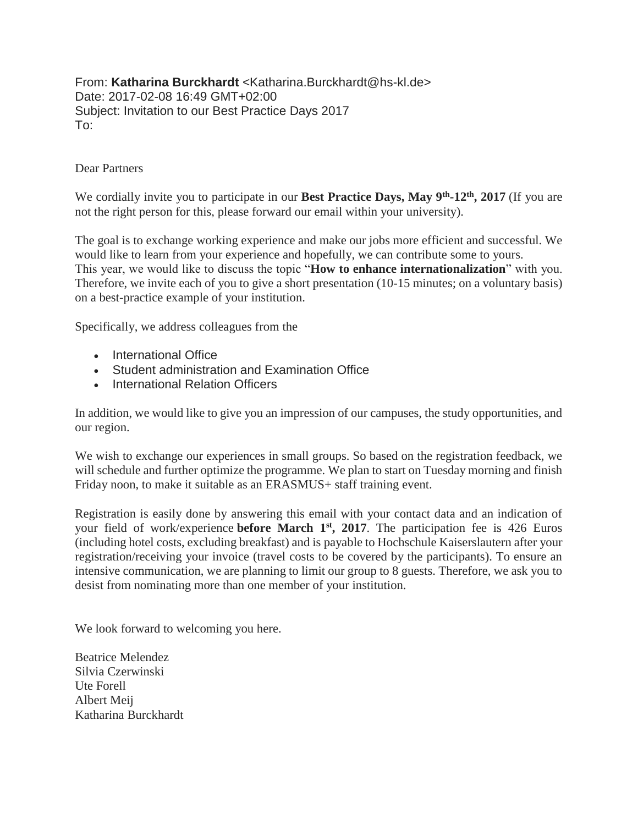From: **Katharina Burckhardt** <Katharina.Burckhardt@hs-kl.de> Date: 2017-02-08 16:49 GMT+02:00 Subject: Invitation to our Best Practice Days 2017 To:

## Dear Partners

We cordially invite you to participate in our **Best Practice Days, May 9th -12th, 2017** (If you are not the right person for this, please forward our email within your university).

The goal is to exchange working experience and make our jobs more efficient and successful. We would like to learn from your experience and hopefully, we can contribute some to yours. This year, we would like to discuss the topic "**How to enhance internationalization**" with you. Therefore, we invite each of you to give a short presentation (10-15 minutes; on a voluntary basis) on a best-practice example of your institution.

Specifically, we address colleagues from the

- International Office
- Student administration and Examination Office
- International Relation Officers

In addition, we would like to give you an impression of our campuses, the study opportunities, and our region.

We wish to exchange our experiences in small groups. So based on the registration feedback, we will schedule and further optimize the programme. We plan to start on Tuesday morning and finish Friday noon, to make it suitable as an ERASMUS+ staff training event.

Registration is easily done by answering this email with your contact data and an indication of your field of work/experience **before March 1st, 2017**. The participation fee is 426 Euros (including hotel costs, excluding breakfast) and is payable to Hochschule Kaiserslautern after your registration/receiving your invoice (travel costs to be covered by the participants). To ensure an intensive communication, we are planning to limit our group to 8 guests. Therefore, we ask you to desist from nominating more than one member of your institution.

We look forward to welcoming you here.

Beatrice Melendez Silvia Czerwinski Ute Forell Albert Meij Katharina Burckhardt